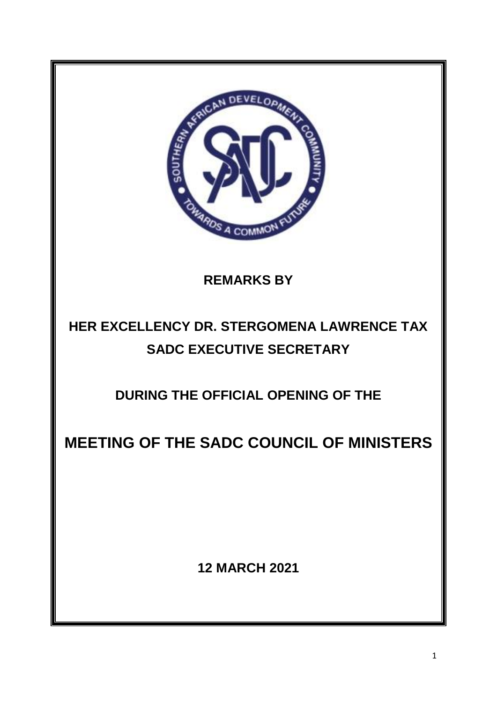

**REMARKS BY**

# **HER EXCELLENCY DR. STERGOMENA LAWRENCE TAX SADC EXECUTIVE SECRETARY**

**DURING THE OFFICIAL OPENING OF THE**

**MEETING OF THE SADC COUNCIL OF MINISTERS**

**12 MARCH 2021**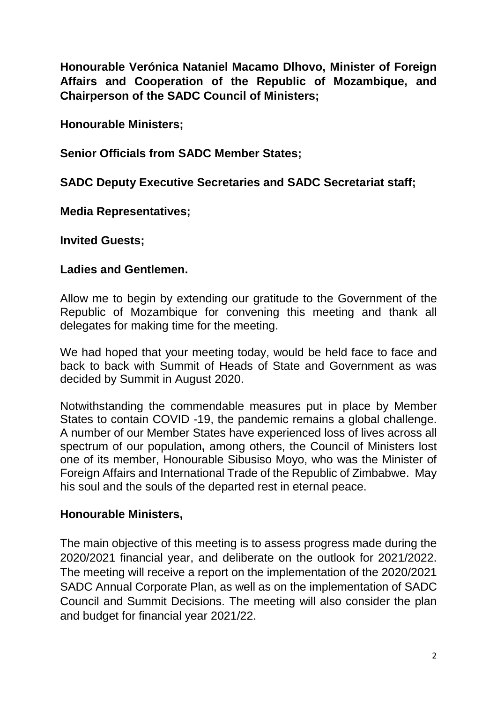**Honourable Verónica Nataniel Macamo Dlhovo, Minister of Foreign Affairs and Cooperation of the Republic of Mozambique, and Chairperson of the SADC Council of Ministers;**

**Honourable Ministers;** 

**Senior Officials from SADC Member States;** 

**SADC Deputy Executive Secretaries and SADC Secretariat staff;** 

**Media Representatives;** 

**Invited Guests;** 

## **Ladies and Gentlemen.**

Allow me to begin by extending our gratitude to the Government of the Republic of Mozambique for convening this meeting and thank all delegates for making time for the meeting.

We had hoped that your meeting today, would be held face to face and back to back with Summit of Heads of State and Government as was decided by Summit in August 2020.

Notwithstanding the commendable measures put in place by Member States to contain COVID -19, the pandemic remains a global challenge. A number of our Member States have experienced loss of lives across all spectrum of our population**,** among others, the Council of Ministers lost one of its member, Honourable Sibusiso Moyo, who was the Minister of Foreign Affairs and International Trade of the Republic of Zimbabwe. May his soul and the souls of the departed rest in eternal peace.

#### **Honourable Ministers,**

The main objective of this meeting is to assess progress made during the 2020/2021 financial year, and deliberate on the outlook for 2021/2022. The meeting will receive a report on the implementation of the 2020/2021 SADC Annual Corporate Plan, as well as on the implementation of SADC Council and Summit Decisions. The meeting will also consider the plan and budget for financial year 2021/22.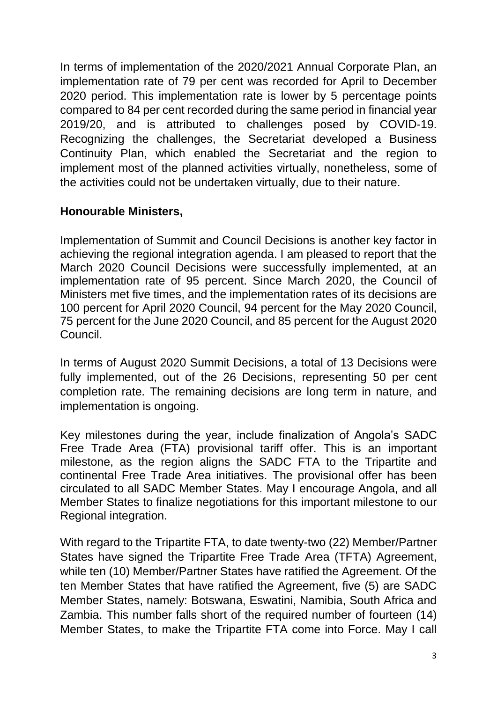In terms of implementation of the 2020/2021 Annual Corporate Plan, an implementation rate of 79 per cent was recorded for April to December 2020 period. This implementation rate is lower by 5 percentage points compared to 84 per cent recorded during the same period in financial year 2019/20, and is attributed to challenges posed by COVID-19. Recognizing the challenges, the Secretariat developed a Business Continuity Plan, which enabled the Secretariat and the region to implement most of the planned activities virtually, nonetheless, some of the activities could not be undertaken virtually, due to their nature.

## **Honourable Ministers,**

Implementation of Summit and Council Decisions is another key factor in achieving the regional integration agenda. I am pleased to report that the March 2020 Council Decisions were successfully implemented, at an implementation rate of 95 percent. Since March 2020, the Council of Ministers met five times, and the implementation rates of its decisions are 100 percent for April 2020 Council, 94 percent for the May 2020 Council, 75 percent for the June 2020 Council, and 85 percent for the August 2020 Council.

In terms of August 2020 Summit Decisions, a total of 13 Decisions were fully implemented, out of the 26 Decisions, representing 50 per cent completion rate. The remaining decisions are long term in nature, and implementation is ongoing.

Key milestones during the year, include finalization of Angola's SADC Free Trade Area (FTA) provisional tariff offer. This is an important milestone, as the region aligns the SADC FTA to the Tripartite and continental Free Trade Area initiatives. The provisional offer has been circulated to all SADC Member States. May I encourage Angola, and all Member States to finalize negotiations for this important milestone to our Regional integration.

With regard to the Tripartite FTA, to date twenty-two (22) Member/Partner States have signed the Tripartite Free Trade Area (TFTA) Agreement, while ten (10) Member/Partner States have ratified the Agreement. Of the ten Member States that have ratified the Agreement, five (5) are SADC Member States, namely: Botswana, Eswatini, Namibia, South Africa and Zambia. This number falls short of the required number of fourteen (14) Member States, to make the Tripartite FTA come into Force. May I call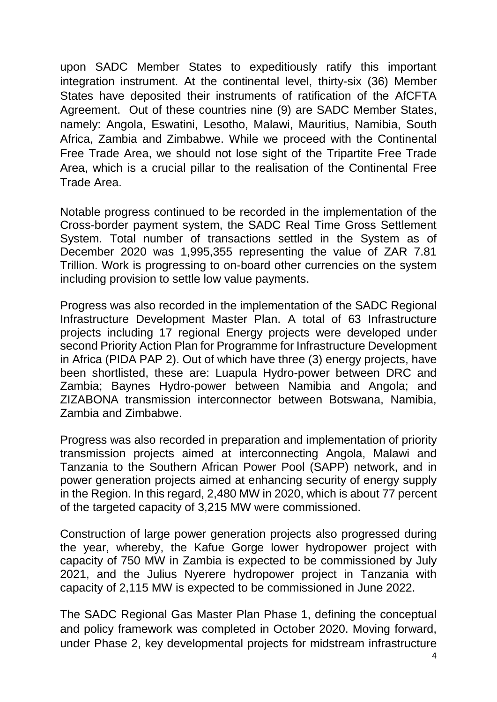upon SADC Member States to expeditiously ratify this important integration instrument. At the continental level, thirty-six (36) Member States have deposited their instruments of ratification of the AfCFTA Agreement. Out of these countries nine (9) are SADC Member States, namely: Angola, Eswatini, Lesotho, Malawi, Mauritius, Namibia, South Africa, Zambia and Zimbabwe. While we proceed with the Continental Free Trade Area, we should not lose sight of the Tripartite Free Trade Area, which is a crucial pillar to the realisation of the Continental Free Trade Area.

Notable progress continued to be recorded in the implementation of the Cross-border payment system, the SADC Real Time Gross Settlement System. Total number of transactions settled in the System as of December 2020 was 1,995,355 representing the value of ZAR 7.81 Trillion. Work is progressing to on-board other currencies on the system including provision to settle low value payments.

Progress was also recorded in the implementation of the SADC Regional Infrastructure Development Master Plan. A total of 63 Infrastructure projects including 17 regional Energy projects were developed under second Priority Action Plan for Programme for Infrastructure Development in Africa (PIDA PAP 2). Out of which have three (3) energy projects, have been shortlisted, these are: Luapula Hydro-power between DRC and Zambia; Baynes Hydro-power between Namibia and Angola; and ZIZABONA transmission interconnector between Botswana, Namibia, Zambia and Zimbabwe.

Progress was also recorded in preparation and implementation of priority transmission projects aimed at interconnecting Angola, Malawi and Tanzania to the Southern African Power Pool (SAPP) network, and in power generation projects aimed at enhancing security of energy supply in the Region. In this regard, 2,480 MW in 2020, which is about 77 percent of the targeted capacity of 3,215 MW were commissioned.

Construction of large power generation projects also progressed during the year, whereby, the Kafue Gorge lower hydropower project with capacity of 750 MW in Zambia is expected to be commissioned by July 2021, and the Julius Nyerere hydropower project in Tanzania with capacity of 2,115 MW is expected to be commissioned in June 2022.

The SADC Regional Gas Master Plan Phase 1, defining the conceptual and policy framework was completed in October 2020. Moving forward, under Phase 2, key developmental projects for midstream infrastructure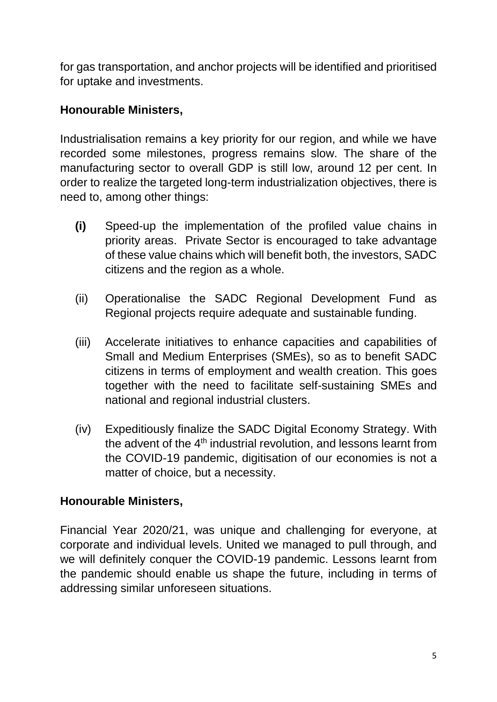for gas transportation, and anchor projects will be identified and prioritised for uptake and investments.

## **Honourable Ministers,**

Industrialisation remains a key priority for our region, and while we have recorded some milestones, progress remains slow. The share of the manufacturing sector to overall GDP is still low, around 12 per cent. In order to realize the targeted long-term industrialization objectives, there is need to, among other things:

- **(i)** Speed-up the implementation of the profiled value chains in priority areas. Private Sector is encouraged to take advantage of these value chains which will benefit both, the investors, SADC citizens and the region as a whole.
- (ii) Operationalise the SADC Regional Development Fund as Regional projects require adequate and sustainable funding.
- (iii) Accelerate initiatives to enhance capacities and capabilities of Small and Medium Enterprises (SMEs), so as to benefit SADC citizens in terms of employment and wealth creation. This goes together with the need to facilitate self-sustaining SMEs and national and regional industrial clusters.
- (iv) Expeditiously finalize the SADC Digital Economy Strategy. With the advent of the  $4<sup>th</sup>$  industrial revolution, and lessons learnt from the COVID-19 pandemic, digitisation of our economies is not a matter of choice, but a necessity.

## **Honourable Ministers,**

Financial Year 2020/21, was unique and challenging for everyone, at corporate and individual levels. United we managed to pull through, and we will definitely conquer the COVID-19 pandemic. Lessons learnt from the pandemic should enable us shape the future, including in terms of addressing similar unforeseen situations.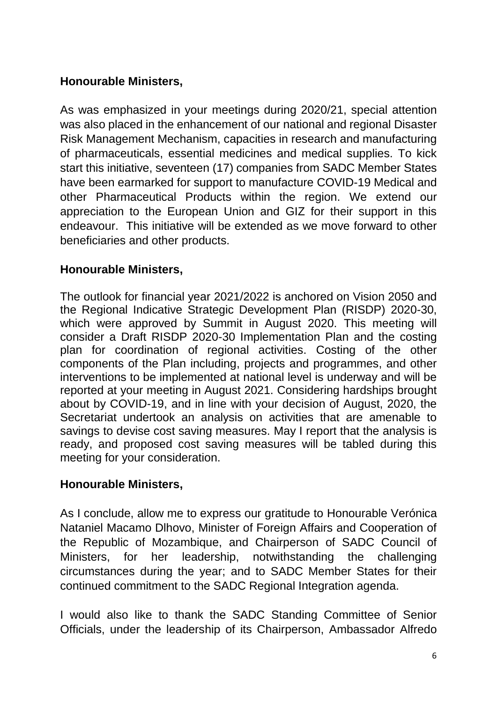# **Honourable Ministers,**

As was emphasized in your meetings during 2020/21, special attention was also placed in the enhancement of our national and regional Disaster Risk Management Mechanism, capacities in research and manufacturing of pharmaceuticals, essential medicines and medical supplies. To kick start this initiative, seventeen (17) companies from SADC Member States have been earmarked for support to manufacture COVID-19 Medical and other Pharmaceutical Products within the region. We extend our appreciation to the European Union and GIZ for their support in this endeavour. This initiative will be extended as we move forward to other beneficiaries and other products.

## **Honourable Ministers,**

The outlook for financial year 2021/2022 is anchored on Vision 2050 and the Regional Indicative Strategic Development Plan (RISDP) 2020-30, which were approved by Summit in August 2020. This meeting will consider a Draft RISDP 2020-30 Implementation Plan and the costing plan for coordination of regional activities. Costing of the other components of the Plan including, projects and programmes, and other interventions to be implemented at national level is underway and will be reported at your meeting in August 2021. Considering hardships brought about by COVID-19, and in line with your decision of August, 2020, the Secretariat undertook an analysis on activities that are amenable to savings to devise cost saving measures. May I report that the analysis is ready, and proposed cost saving measures will be tabled during this meeting for your consideration.

#### **Honourable Ministers,**

As I conclude, allow me to express our gratitude to Honourable Verónica Nataniel Macamo Dlhovo, Minister of Foreign Affairs and Cooperation of the Republic of Mozambique, and Chairperson of SADC Council of Ministers, for her leadership, notwithstanding the challenging circumstances during the year; and to SADC Member States for their continued commitment to the SADC Regional Integration agenda.

I would also like to thank the SADC Standing Committee of Senior Officials, under the leadership of its Chairperson, Ambassador Alfredo